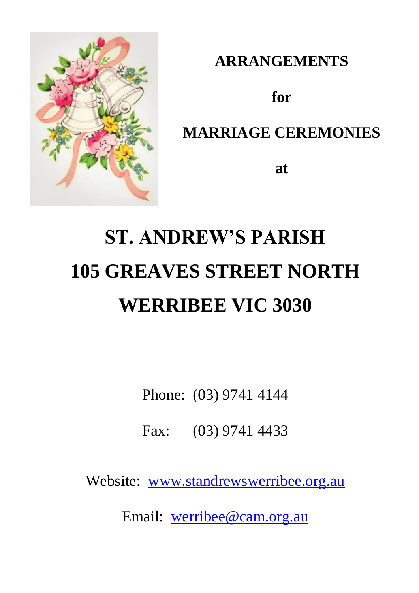

**ARRANGEMENTS**

**for**

# **MARRIAGE CEREMONIES**

**at**

# **ST. ANDREW'S PARISH 105 GREAVES STREET NORTH WERRIBEE VIC 3030**

Phone: (03) 9741 4144

Fax: (03) 9741 4433

Website: www.standrewswerribee.org.au

Email: werribee@cam.org.au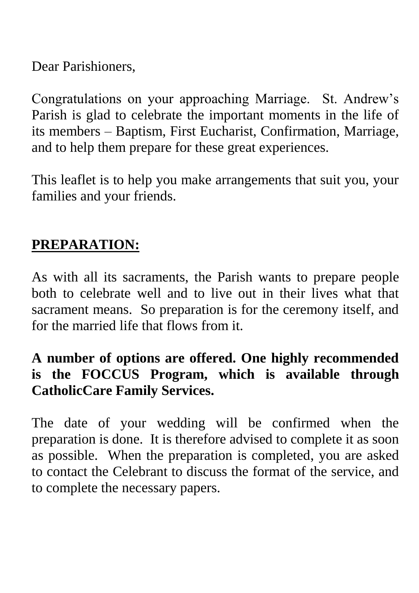Dear Parishioners,

Congratulations on your approaching Marriage. St. Andrew's Parish is glad to celebrate the important moments in the life of its members – Baptism, First Eucharist, Confirmation, Marriage, and to help them prepare for these great experiences.

This leaflet is to help you make arrangements that suit you, your families and your friends.

### **PREPARATION:**

As with all its sacraments, the Parish wants to prepare people both to celebrate well and to live out in their lives what that sacrament means. So preparation is for the ceremony itself, and for the married life that flows from it.

## **A number of options are offered. One highly recommended is the FOCCUS Program, which is available through CatholicCare Family Services.**

The date of your wedding will be confirmed when the preparation is done. It is therefore advised to complete it as soon as possible. When the preparation is completed, you are asked to contact the Celebrant to discuss the format of the service, and to complete the necessary papers.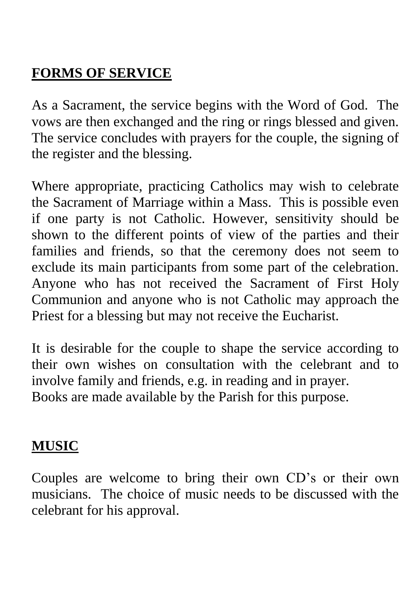## **FORMS OF SERVICE**

As a Sacrament, the service begins with the Word of God. The vows are then exchanged and the ring or rings blessed and given. The service concludes with prayers for the couple, the signing of the register and the blessing.

Where appropriate, practicing Catholics may wish to celebrate the Sacrament of Marriage within a Mass. This is possible even if one party is not Catholic. However, sensitivity should be shown to the different points of view of the parties and their families and friends, so that the ceremony does not seem to exclude its main participants from some part of the celebration. Anyone who has not received the Sacrament of First Holy Communion and anyone who is not Catholic may approach the Priest for a blessing but may not receive the Eucharist.

It is desirable for the couple to shape the service according to their own wishes on consultation with the celebrant and to involve family and friends, e.g. in reading and in prayer. Books are made available by the Parish for this purpose.

### **MUSIC**

Couples are welcome to bring their own CD's or their own musicians. The choice of music needs to be discussed with the celebrant for his approval.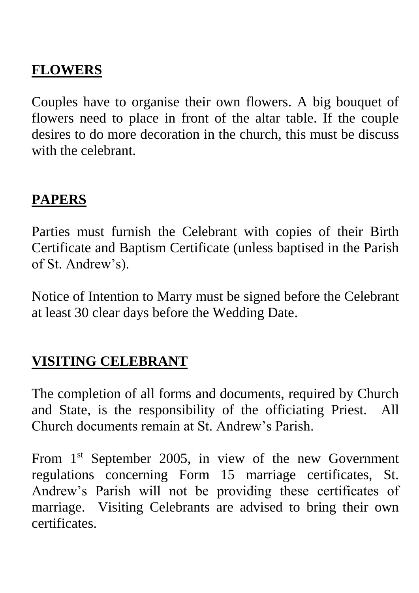## **FLOWERS**

Couples have to organise their own flowers. A big bouquet of flowers need to place in front of the altar table. If the couple desires to do more decoration in the church, this must be discuss with the celebrant.

## **PAPERS**

Parties must furnish the Celebrant with copies of their Birth Certificate and Baptism Certificate (unless baptised in the Parish of St. Andrew's).

Notice of Intention to Marry must be signed before the Celebrant at least 30 clear days before the Wedding Date.

## **VISITING CELEBRANT**

The completion of all forms and documents, required by Church and State, is the responsibility of the officiating Priest. All Church documents remain at St. Andrew's Parish.

From 1<sup>st</sup> September 2005, in view of the new Government regulations concerning Form 15 marriage certificates, St. Andrew's Parish will not be providing these certificates of marriage. Visiting Celebrants are advised to bring their own certificates.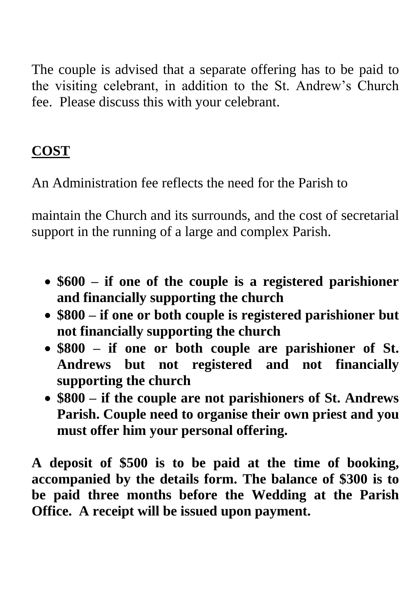The couple is advised that a separate offering has to be paid to the visiting celebrant, in addition to the St. Andrew's Church fee. Please discuss this with your celebrant.

## **COST**

An Administration fee reflects the need for the Parish to

maintain the Church and its surrounds, and the cost of secretarial support in the running of a large and complex Parish.

- **\$600 – if one of the couple is a registered parishioner and financially supporting the church**
- **\$800 – if one or both couple is registered parishioner but not financially supporting the church**
- **\$800 – if one or both couple are parishioner of St. Andrews but not registered and not financially supporting the church**
- **\$800 – if the couple are not parishioners of St. Andrews Parish. Couple need to organise their own priest and you must offer him your personal offering.**

**A deposit of \$500 is to be paid at the time of booking, accompanied by the details form. The balance of \$300 is to be paid three months before the Wedding at the Parish Office. A receipt will be issued upon payment.**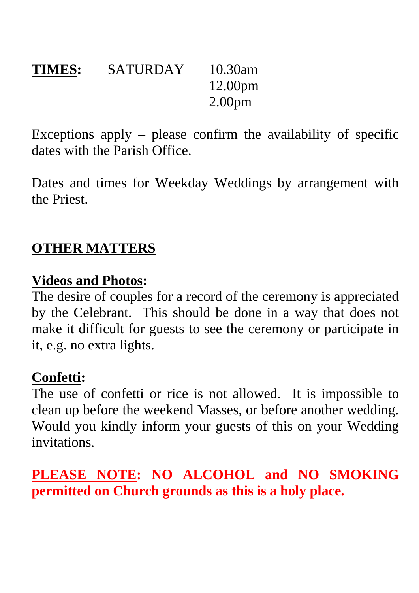## **TIMES:** SATURDAY 10.30am 12.00pm 2.00pm

Exceptions apply – please confirm the availability of specific dates with the Parish Office.

Dates and times for Weekday Weddings by arrangement with the Priest.

## **OTHER MATTERS**

#### **Videos and Photos:**

The desire of couples for a record of the ceremony is appreciated by the Celebrant. This should be done in a way that does not make it difficult for guests to see the ceremony or participate in it, e.g. no extra lights.

#### **Confetti:**

The use of confetti or rice is not allowed. It is impossible to clean up before the weekend Masses, or before another wedding. Would you kindly inform your guests of this on your Wedding invitations.

**PLEASE NOTE: NO ALCOHOL and NO SMOKING permitted on Church grounds as this is a holy place.**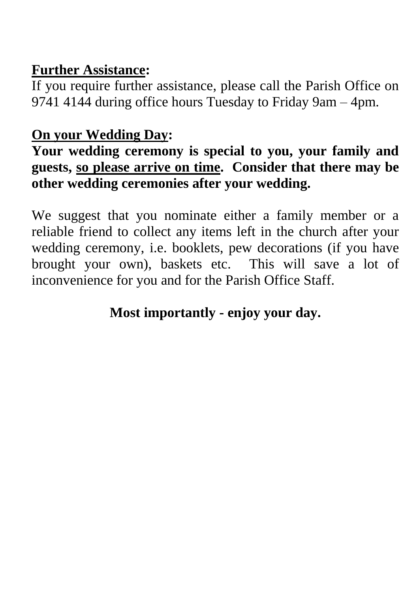## **Further Assistance:**

If you require further assistance, please call the Parish Office on 9741 4144 during office hours Tuesday to Friday 9am – 4pm.

## **On your Wedding Day:**

## **Your wedding ceremony is special to you, your family and guests, so please arrive on time. Consider that there may be other wedding ceremonies after your wedding.**

We suggest that you nominate either a family member or a reliable friend to collect any items left in the church after your wedding ceremony, i.e. booklets, pew decorations (if you have brought your own), baskets etc. This will save a lot of inconvenience for you and for the Parish Office Staff.

## **Most importantly - enjoy your day.**